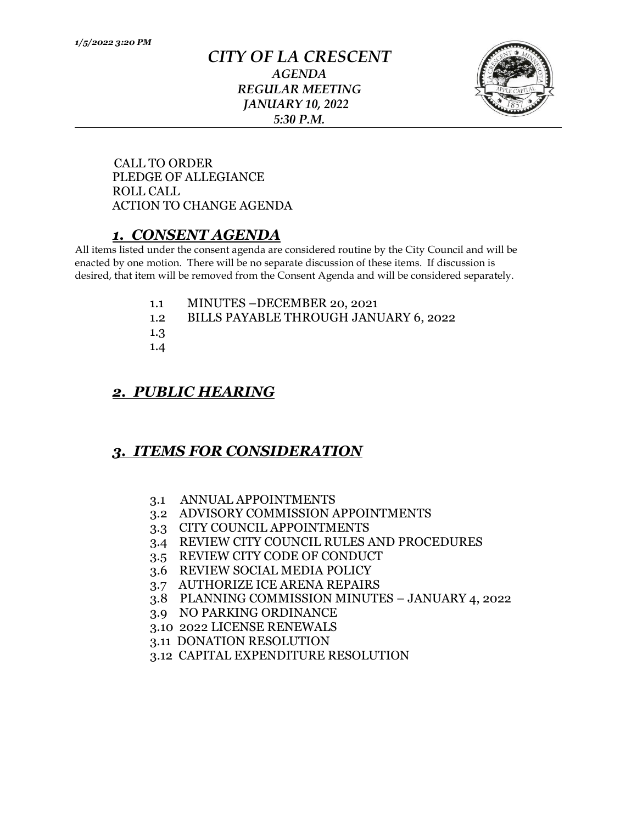#### *CITY OF LA CRESCENT AGENDA REGULAR MEETING JANUARY 10, 2022 5:30 P.M.*



 CALL TO ORDER PLEDGE OF ALLEGIANCE ROLL CALL ACTION TO CHANGE AGENDA

# *1. CONSENT AGENDA*

All items listed under the consent agenda are considered routine by the City Council and will be enacted by one motion. There will be no separate discussion of these items. If discussion is desired, that item will be removed from the Consent Agenda and will be considered separately.

- 1.1 MINUTES –DECEMBER 20, 2021
- 1.2 BILLS PAYABLE THROUGH JANUARY 6, 2022
- 1.3
- 1.4

## *2. PUBLIC HEARING*

## *3. ITEMS FOR CONSIDERATION*

- 3.1 ANNUAL APPOINTMENTS
- 3.2 ADVISORY COMMISSION APPOINTMENTS
- 3.3 CITY COUNCIL APPOINTMENTS
- 3.4 REVIEW CITY COUNCIL RULES AND PROCEDURES
- 3.5 REVIEW CITY CODE OF CONDUCT
- 3.6 REVIEW SOCIAL MEDIA POLICY
- 3.7 AUTHORIZE ICE ARENA REPAIRS
- 3.8 PLANNING COMMISSION MINUTES JANUARY 4, 2022
- 3.9 NO PARKING ORDINANCE
- 3.10 2022 LICENSE RENEWALS
- 3.11 DONATION RESOLUTION
- 3.12 CAPITAL EXPENDITURE RESOLUTION